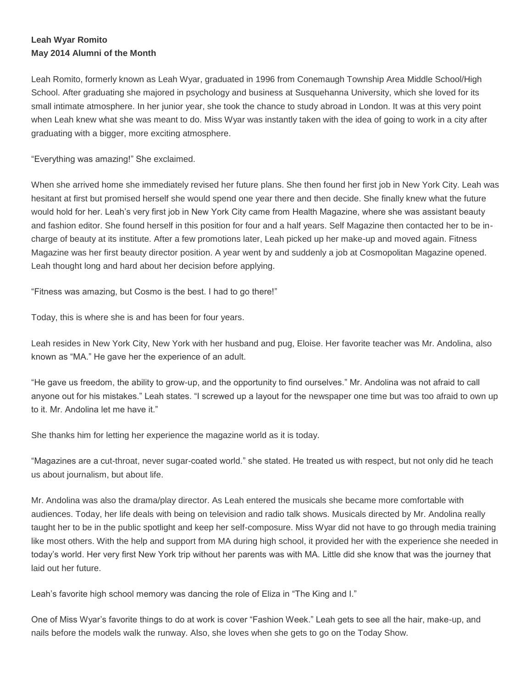## **Leah Wyar Romito May 2014 Alumni of the Month**

Leah Romito, formerly known as Leah Wyar, graduated in 1996 from Conemaugh Township Area Middle School/High School. After graduating she majored in psychology and business at Susquehanna University, which she loved for its small intimate atmosphere. In her junior year, she took the chance to study abroad in London. It was at this very point when Leah knew what she was meant to do. Miss Wyar was instantly taken with the idea of going to work in a city after graduating with a bigger, more exciting atmosphere.

"Everything was amazing!" She exclaimed.

When she arrived home she immediately revised her future plans. She then found her first job in New York City. Leah was hesitant at first but promised herself she would spend one year there and then decide. She finally knew what the future would hold for her. Leah's very first job in New York City came from Health Magazine, where she was assistant beauty and fashion editor. She found herself in this position for four and a half years. Self Magazine then contacted her to be incharge of beauty at its institute. After a few promotions later, Leah picked up her make-up and moved again. Fitness Magazine was her first beauty director position. A year went by and suddenly a job at Cosmopolitan Magazine opened. Leah thought long and hard about her decision before applying.

"Fitness was amazing, but Cosmo is the best. I had to go there!"

Today, this is where she is and has been for four years.

Leah resides in New York City, New York with her husband and pug, Eloise. Her favorite teacher was Mr. Andolina, also known as "MA." He gave her the experience of an adult.

"He gave us freedom, the ability to grow-up, and the opportunity to find ourselves." Mr. Andolina was not afraid to call anyone out for his mistakes." Leah states. "I screwed up a layout for the newspaper one time but was too afraid to own up to it. Mr. Andolina let me have it."

She thanks him for letting her experience the magazine world as it is today.

"Magazines are a cut-throat, never sugar-coated world." she stated. He treated us with respect, but not only did he teach us about journalism, but about life.

Mr. Andolina was also the drama/play director. As Leah entered the musicals she became more comfortable with audiences. Today, her life deals with being on television and radio talk shows. Musicals directed by Mr. Andolina really taught her to be in the public spotlight and keep her self-composure. Miss Wyar did not have to go through media training like most others. With the help and support from MA during high school, it provided her with the experience she needed in today's world. Her very first New York trip without her parents was with MA. Little did she know that was the journey that laid out her future.

Leah's favorite high school memory was dancing the role of Eliza in "The King and I."

One of Miss Wyar's favorite things to do at work is cover "Fashion Week." Leah gets to see all the hair, make-up, and nails before the models walk the runway. Also, she loves when she gets to go on the Today Show.